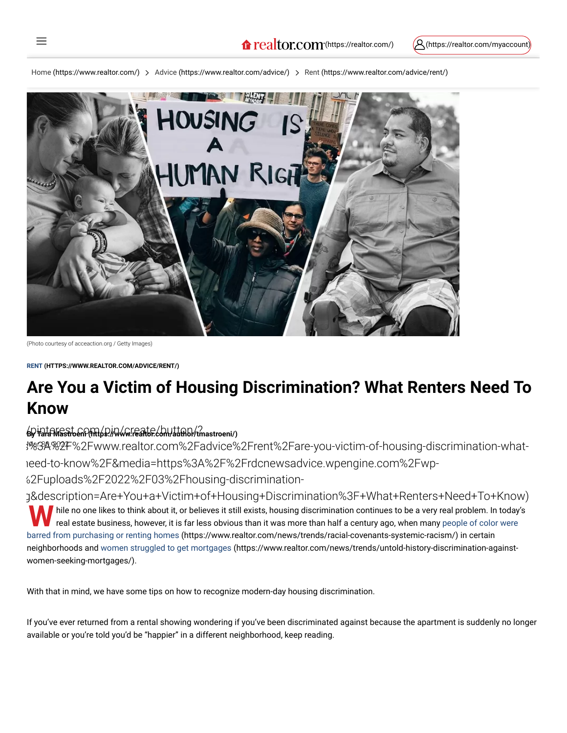[Home \(https://www.realtor.com/\)](https://www.realtor.com/) > [Advice \(https://www.realtor.com/advice/\)](https://www.realtor.com/advice/) > [Rent \(https://www.realtor.com/advice/rent/\)](https://www.realtor.com/advice/rent/)



(Photo courtesy of acceaction.org / Getty Images)

 $\equiv$ 

**[RENT \(HTTPS://WWW.REALTOR.COM/ADVICE/RENT/\)](https://www.realtor.com/advice/rent/)**

# **Are You a Victim of Housing Discrimination? What Renters Need To Know**

#### /pinterest.com/pin/create/button/? **By [Tara Mastroeni \(https://www.realtor.com/author/tmastroeni/\)](https://www.realtor.com/author/tmastroeni/)**

:%83A%2F%2Fwww.realtor.com%2Fadvice%2Frent%2Fare-you-victim-of-housing-discrimination-whatneed-to-know%2F&media=https%3A%2F%2Frdcnewsadvice.wpengine.com%2Fwp- %2Fuploads%2F2022%2F03%2Fhousing-discrimination-

[g&description=Are+You+a+Victim+of+Housing+Discrimination%3F+What+Renters+Need+To+Know\)](http://pinterest.com/pin/create/button/?url=https%3A%2F%2Fwww.realtor.com%2Fadvice%2Frent%2Fare-you-victim-of-housing-discrimination-what-renters-need-to-know%2F&media=https%3A%2F%2Frdcnewsadvice.wpengine.com%2Fwp-content%2Fuploads%2F2022%2F03%2Fhousing-discrimination-rights.jpg&description=Are+You+a+Victim+of+Housing+Discrimination%3F+What+Renters+Need+To+Know) While no one likes to think about it, or believes it still exists, housing discrimination continues to be a very real problem. In today's real estate business, however, it is far less obvious than it was more than half a c real estate business, however, it is far less obvious than it was more than half a century ago, when many people of color were [barred from purchasing or renting homes \(https://www.realtor.com/news/trends/racial-covenants-systemic-racism/\) in certain](https://www.realtor.com/news/trends/racial-covenants-systemic-racism/) [neighborhoods and women struggled to get mortgages \(https://www.realtor.com/news/trends/untold-history-discrimination-against](https://www.realtor.com/news/trends/untold-history-discrimination-against-women-seeking-mortgages/)women-seeking-mortgages/).

With that in mind, we have some tips on how to recognize modern-day housing discrimination.

If you've ever returned from a rental showing wondering if you've been discriminated against because the apartment is suddenly no longer available or you're told you'd be "happier" in a different neighborhood, keep reading.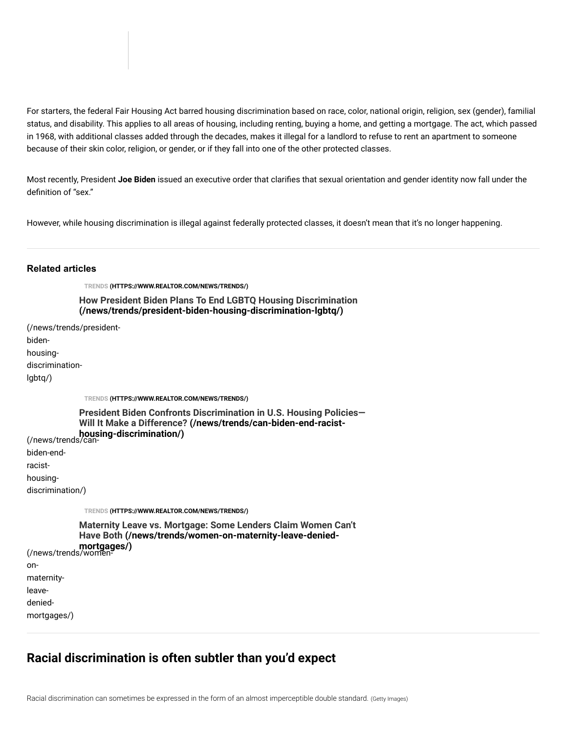For starters, the federal Fair Housing Act barred housing discrimination based on race, color, national origin, religion, sex (gender), familial status, and disability. This applies to all areas of housing, including renting, buying a home, and getting a mortgage. The act, which passed in 1968, with additional classes added through the decades, makes it illegal for a landlord to refuse to rent an apartment to someone because of their skin color, religion, or gender, or if they fall into one of the other protected classes.

Most recently, President **Joe Biden** issued an executive order that clarifies that sexual orientation and gender identity now fall under the definition of "sex."

However, while housing discrimination is illegal against federally protected classes, it doesn't mean that it's no longer happening.

#### **Related articles**

**[TRENDS \(HTTPS://WWW.REALTOR.COM/NEWS/TRENDS/\)](https://www.realtor.com/news/trends/)**

**[How President Biden Plans To End LGBTQ Housing Discrimination](https://www.realtor.com/news/trends/president-biden-housing-discrimination-lgbtq/) (/news/trends/president-biden-housing-discrimination-lgbtq/)**

[\(/news/trends/president](https://www.realtor.com/news/trends/president-biden-housing-discrimination-lgbtq/)bidenhousingdiscriminationlgbtq/)

**[TRENDS \(HTTPS://WWW.REALTOR.COM/NEWS/TRENDS/\)](https://www.realtor.com/news/trends/)**

[\(/news/trends/can-](https://www.realtor.com/news/trends/can-biden-end-racist-housing-discrimination/)**housing-discrimination/) [President Biden Confronts Discrimination in U.S. Housing Policies—](https://www.realtor.com/news/trends/can-biden-end-racist-housing-discrimination/) Will It Make a Difference? (/news/trends/can-biden-end-racist-**

biden-end-

racist-

on-

housing-

discrimination/)

**[TRENDS \(HTTPS://WWW.REALTOR.COM/NEWS/TRENDS/\)](https://www.realtor.com/news/trends/)**

[\(/news/trends/women-](https://www.realtor.com/news/trends/women-on-maternity-leave-denied-mortgages/)**mortgages/)** maternityleavedenied-**[Maternity Leave vs. Mortgage: Some Lenders Claim Women Can't](https://www.realtor.com/news/trends/women-on-maternity-leave-denied-mortgages/) Have Both (/news/trends/women-on-maternity-leave-denied-**

mortgages/)

#### **Racial discrimination is often subtler than you'd expect**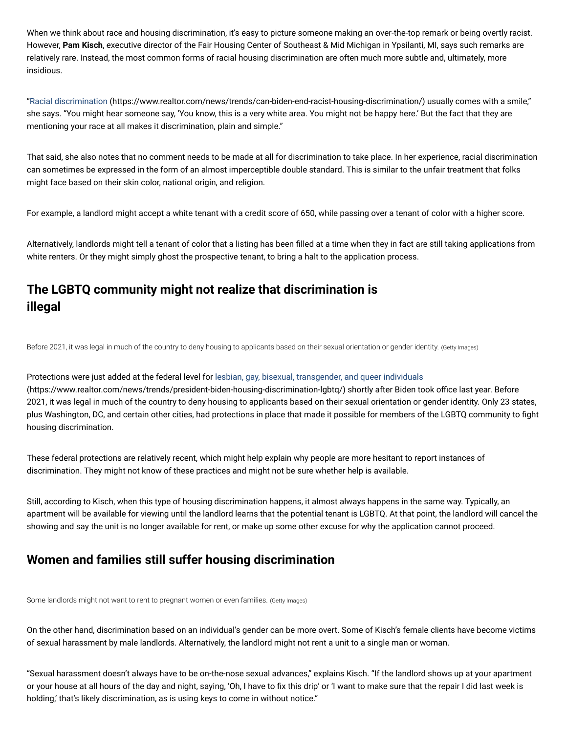When we think about race and housing discrimination, it's easy to picture someone making an over-the-top remark or being overtly racist. However, **Pam Kisch**, executive director of the Fair Housing Center of Southeast & Mid Michigan in Ypsilanti, MI, says such remarks are relatively rare. Instead, the most common forms of racial housing discrimination are often much more subtle and, ultimately, more insidious.

["Racial discrimination \(https://www.realtor.com/news/trends/can-biden-end-racist-housing-discrimination/\)](https://www.realtor.com/news/trends/can-biden-end-racist-housing-discrimination/) usually comes with a smile," she says. "You might hear someone say, 'You know, this is a very white area. You might not be happy here.' But the fact that they are mentioning your race at all makes it discrimination, plain and simple."

That said, she also notes that no comment needs to be made at all for discrimination to take place. In her experience, racial discrimination can sometimes be expressed in the form of an almost imperceptible double standard. This is similar to the unfair treatment that folks might face based on their skin color, national origin, and religion.

For example, a landlord might accept a white tenant with a credit score of 650, while passing over a tenant of color with a higher score.

Alternatively, landlords might tell a tenant of color that a listing has been filled at a time when they in fact are still taking applications from white renters. Or they might simply ghost the prospective tenant, to bring a halt to the application process.

## **The LGBTQ community might not realize that discrimination is illegal**

Before 2021, it was legal in much of the country to deny housing to applicants based on their sexual orientation or gender identity. (Getty Images)

Protections were just added at the federal level for lesbian, gay, bisexual, transgender, and queer individuals [\(https://www.realtor.com/news/trends/president-biden-housing-discrimination-lgbtq/\) shortly after Biden to](https://www.realtor.com/news/trends/president-biden-housing-discrimination-lgbtq/)ok office last year. Before 2021, it was legal in much of the country to deny housing to applicants based on their sexual orientation or gender identity. Only 23 states, plus Washington, DC, and certain other cities, had protections in place that made it possible for members of the LGBTQ community to fight housing discrimination.

These federal protections are relatively recent, which might help explain why people are more hesitant to report instances of discrimination. They might not know of these practices and might not be sure whether help is available.

Still, according to Kisch, when this type of housing discrimination happens, it almost always happens in the same way. Typically, an apartment will be available for viewing until the landlord learns that the potential tenant is LGBTQ. At that point, the landlord will cancel the showing and say the unit is no longer available for rent, or make up some other excuse for why the application cannot proceed.

### **Women and families still suffer housing discrimination**

Some landlords might not want to rent to pregnant women or even families. (Getty Images)

On the other hand, discrimination based on an individual's gender can be more overt. Some of Kisch's female clients have become victims of sexual harassment by male landlords. Alternatively, the landlord might not rent a unit to a single man or woman.

"Sexual harassment doesn't always have to be on-the-nose sexual advances," explains Kisch. "If the landlord shows up at your apartment or your house at all hours of the day and night, saying, 'Oh, I have to fix this drip' or 'I want to make sure that the repair I did last week is holding,' that's likely discrimination, as is using keys to come in without notice."